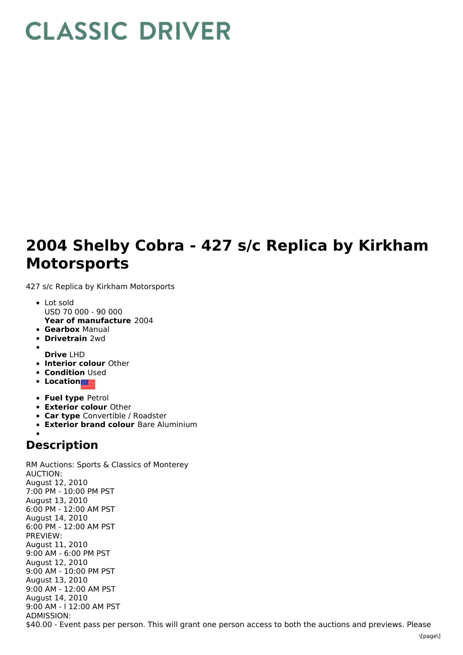## **CLASSIC DRIVER**

## **2004 Shelby Cobra - 427 s/c Replica by Kirkham Motorsports**

427 s/c Replica by Kirkham Motorsports

- **Year of manufacture** 2004 Lot sold USD 70 000 - 90 000
- **Gearbox** Manual
- **Drivetrain** 2wd
- - **Drive** LHD
- **Interior colour** Other
- **Condition Used**
- **Location**
- **Fuel type** Petrol
- **Exterior colour** Other
- **Car type** Convertible / Roadster
- **Exterior brand colour** Bare Aluminium

## **Description**

RM Auctions: Sports & Classics of Monterey AUCTION: August 12, 2010 7:00 PM - 10:00 PM PST August 13, 2010 6:00 PM - 12:00 AM PST August 14, 2010 6:00 PM - 12:00 AM PST PREVIEW: August 11, 2010 9:00 AM - 6:00 PM PST August 12, 2010 9:00 AM - 10:00 PM PST August 13, 2010 9:00 AM - 12:00 AM PST August 14, 2010 9:00 AM - l 12:00 AM PST ADMISSION: \$40.00 - Event pass per person. This will grant one person access to both the auctions and previews. Please